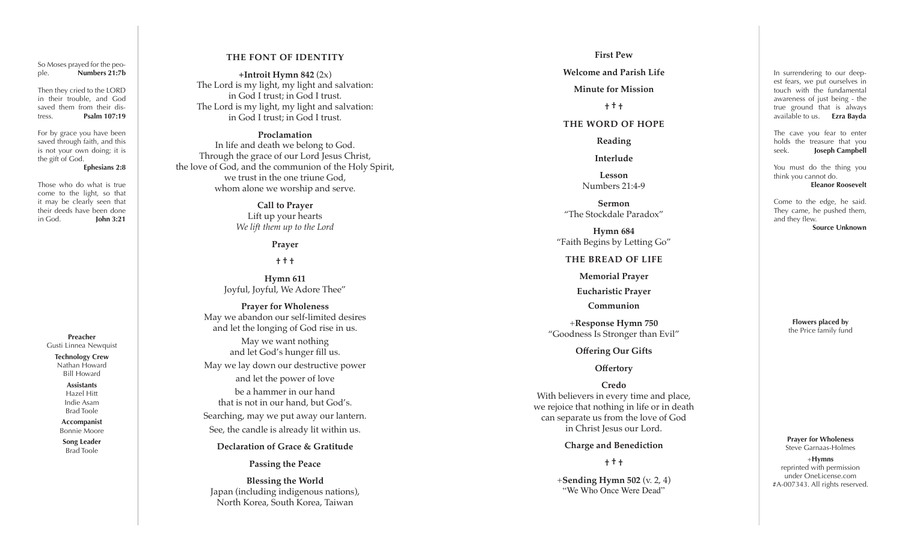So Moses prayed for the peo ple. **Numbers 21:7b**

Then they cried to the LORD in their trouble, and God saved them from their dis tress. **Psalm 107:19**

For by grace you have been saved through faith, and this is not your own doing; it is the gift of God.

#### **Ephesians 2:8**

Those who do what is true come to the light, so that it may be clearly seen that their deeds have been done in God. **John 3:21**

> **Preacher** Gusti Linnea Newquist **Technology Crew**

Nathan Howard Bill Howard

> **Assistants** Hazel Hitt Indie Asam Brad Toole

**Accompanist** Bonnie Moore

**Song Leader** Brad Toole

## **THE FONT OF IDENTITY**

**+Introit Hymn 842** (2x) The Lord is my light, my light and salvation: in God I trust; in God I trust. The Lord is my light, my light and salvation: in God I trust; in God I trust.

## **Proclamation**

In life and death we belong to God. Through the grace of our Lord Jesus Christ, the love of God, and the communion of the Holy Spirit, we trust in the one triune God, whom alone we worship and serve.

> **Call to Prayer** Lift up your hearts *We lift them up to the Lord*

> > **Prayer**

**† † †**

**Hymn 611** Joyful, Joyful, We Adore Thee"

**Prayer for Wholeness** May we abandon our self-limited desires and let the longing of God rise in us.

May we want nothing and let God's hunger fill us. May we lay down our destructive power

and let the power of love be a hammer in our hand that is not in our hand, but God's. Searching, may we put away our lantern. See, the candle is already lit within us.

**Declaration of Grace & Gratitude**

**Passing the Peace** 

**Blessing the World** Japan (including indigenous nations), North Korea, South Korea, Taiwan

#### **First Pew**

#### **Welcome and Parish Life**

**Minute for Mission**

**† † †** 

## **THE WORD OF HOPE**

**Reading**

**Interlude**

**Lesson** Numbers 21:4-9

**Sermon** "The Stockdale Paradox"

**Hymn 684** "Faith Begins by Letting Go"

**THE BREAD OF LIFE**

**Memorial Prayer**

**Eucharistic Prayer**

**Communion**

+**Response Hymn 750** "Goodness Is Stronger than Evil"

**Offering Our Gifts**

**Offertory**

**Credo** With believers in every time and place, we rejoice that nothing in life or in death can separate us from the love of God in Christ Jesus our Lord.

**Charge and Benediction**

**† † †**

+**Sending Hymn 502** (v. 2, 4) "We Who Once Were Dead"

In surrendering to our deep est fears, we put ourselves in touch with the fundamental awareness of just being - the true ground that is always available to us. **Ezra Bayda**

The cave you fear to enter holds the treasure that you seek. **Joseph Campbell** 

You must do the thing you think you cannot do. **Eleanor Roosevelt**

Come to the edge, he said. They came, he pushed them, and they flew. **Source Unknown**

> **Flowers placed by** the Price family fund

**Prayer for Wholeness** Steve Garnaas-Holmes

+**Hymns** reprinted with permission under OneLicense.com #A-007343. All rights reserved.